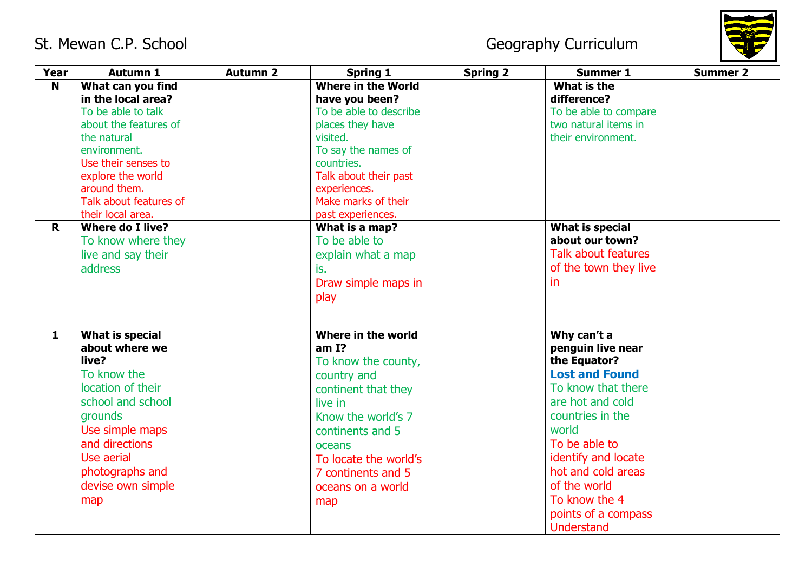

| <b>Year</b>  | <b>Autumn 1</b>                                                                                                                                                                                                                  | <b>Autumn 2</b> | <b>Spring 1</b>                                                                                                                                                                                                                   | <b>Spring 2</b> | <b>Summer 1</b>                                                                                                                                                                                                                                                                             | <b>Summer 2</b> |
|--------------|----------------------------------------------------------------------------------------------------------------------------------------------------------------------------------------------------------------------------------|-----------------|-----------------------------------------------------------------------------------------------------------------------------------------------------------------------------------------------------------------------------------|-----------------|---------------------------------------------------------------------------------------------------------------------------------------------------------------------------------------------------------------------------------------------------------------------------------------------|-----------------|
| N            | What can you find<br>in the local area?<br>To be able to talk<br>about the features of<br>the natural<br>environment.<br>Use their senses to<br>explore the world<br>around them.<br>Talk about features of<br>their local area. |                 | <b>Where in the World</b><br>have you been?<br>To be able to describe<br>places they have<br>visited.<br>To say the names of<br>countries.<br>Talk about their past<br>experiences.<br>Make marks of their<br>past experiences.   |                 | What is the<br>difference?<br>To be able to compare<br>two natural items in<br>their environment.                                                                                                                                                                                           |                 |
| $\mathbf R$  | <b>Where do I live?</b><br>To know where they<br>live and say their<br><b>address</b>                                                                                                                                            |                 | What is a map?<br>To be able to<br>explain what a map<br>is.<br>Draw simple maps in<br>play                                                                                                                                       |                 | <b>What is special</b><br>about our town?<br><b>Talk about features</b><br>of the town they live<br>in.                                                                                                                                                                                     |                 |
| $\mathbf{1}$ | <b>What is special</b><br>about where we<br>live?<br>To know the<br>location of their<br>school and school<br>grounds<br>Use simple maps<br>and directions<br>Use aerial<br>photographs and<br>devise own simple<br>map          |                 | Where in the world<br>amI?<br>To know the county,<br>country and<br>continent that they<br>live in<br>Know the world's 7<br>continents and 5<br>oceans<br>To locate the world's<br>7 continents and 5<br>oceans on a world<br>map |                 | Why can't a<br>penguin live near<br>the Equator?<br><b>Lost and Found</b><br>To know that there<br>are hot and cold<br>countries in the<br>world<br>To be able to<br>identify and locate<br>hot and cold areas<br>of the world<br>To know the 4<br>points of a compass<br><b>Understand</b> |                 |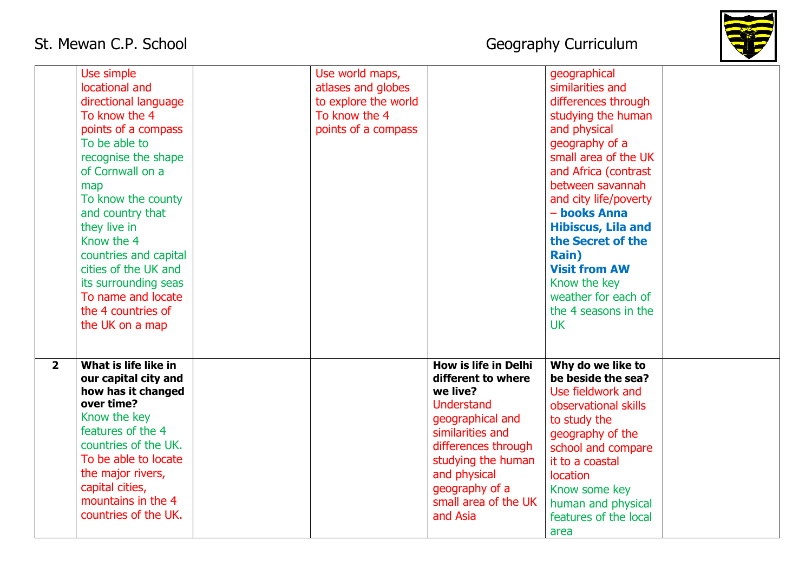

|                | Use simple<br>locational and<br>directional language<br>To know the 4<br>points of a compass<br>To be able to<br>recognise the shape<br>of Cornwall on a<br>map<br>To know the county<br>and country that<br>they live in<br>Know the 4<br>countries and capital<br>cities of the UK and<br>its surrounding seas<br>To name and locate<br>the 4 countries of<br>the UK on a map | Use world maps,<br>atlases and globes<br>to explore the world<br>To know the 4<br>points of a compass |                                                                                                                                                                                                                                               | geographical<br>similarities and<br>differences through<br>studying the human<br>and physical<br>geography of a<br>small area of the UK<br>and Africa (contrast<br>between savannah<br>and city life/poverty<br>- books Anna<br><b>Hibiscus, Lila and</b><br>the Secret of the<br>Rain)<br><b>Visit from AW</b><br>Know the key<br>weather for each of<br>the 4 seasons in the<br><b>UK</b> |  |
|----------------|---------------------------------------------------------------------------------------------------------------------------------------------------------------------------------------------------------------------------------------------------------------------------------------------------------------------------------------------------------------------------------|-------------------------------------------------------------------------------------------------------|-----------------------------------------------------------------------------------------------------------------------------------------------------------------------------------------------------------------------------------------------|---------------------------------------------------------------------------------------------------------------------------------------------------------------------------------------------------------------------------------------------------------------------------------------------------------------------------------------------------------------------------------------------|--|
| $\overline{2}$ | What is life like in<br>our capital city and<br>how has it changed<br>over time?<br>Know the key<br>features of the 4<br>countries of the UK.<br>To be able to locate<br>the major rivers,<br>capital cities,<br>mountains in the 4<br>countries of the UK.                                                                                                                     |                                                                                                       | <b>How is life in Delhi</b><br>different to where<br>we live?<br><b>Understand</b><br>geographical and<br>similarities and<br>differences through<br>studying the human<br>and physical<br>geography of a<br>small area of the UK<br>and Asia | Why do we like to<br>be beside the sea?<br>Use fieldwork and<br>observational skills<br>to study the<br>geography of the<br>school and compare<br>it to a coastal<br>location<br>Know some key<br>human and physical<br>features of the local<br>area                                                                                                                                       |  |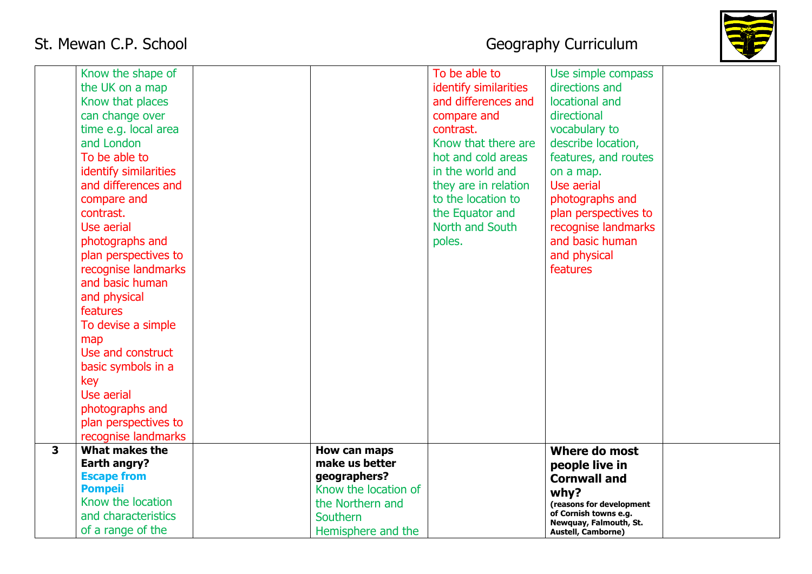

|                         | Know the shape of     |                      | To be able to         | Use simple compass                              |  |
|-------------------------|-----------------------|----------------------|-----------------------|-------------------------------------------------|--|
|                         | the UK on a map       |                      | identify similarities | directions and                                  |  |
|                         | Know that places      |                      | and differences and   | locational and                                  |  |
|                         | can change over       |                      | compare and           | directional                                     |  |
|                         | time e.g. local area  |                      | contrast.             | vocabulary to                                   |  |
|                         | and London            |                      | Know that there are   | describe location,                              |  |
|                         | To be able to         |                      | hot and cold areas    | features, and routes                            |  |
|                         | identify similarities |                      | in the world and      | on a map.                                       |  |
|                         | and differences and   |                      | they are in relation  | Use aerial                                      |  |
|                         | compare and           |                      | to the location to    | photographs and                                 |  |
|                         | contrast.             |                      | the Equator and       | plan perspectives to                            |  |
|                         | Use aerial            |                      | North and South       | recognise landmarks                             |  |
|                         | photographs and       |                      | poles.                | and basic human                                 |  |
|                         | plan perspectives to  |                      |                       | and physical                                    |  |
|                         | recognise landmarks   |                      |                       | features                                        |  |
|                         | and basic human       |                      |                       |                                                 |  |
|                         | and physical          |                      |                       |                                                 |  |
|                         | features              |                      |                       |                                                 |  |
|                         | To devise a simple    |                      |                       |                                                 |  |
|                         | map                   |                      |                       |                                                 |  |
|                         | Use and construct     |                      |                       |                                                 |  |
|                         | basic symbols in a    |                      |                       |                                                 |  |
|                         | key                   |                      |                       |                                                 |  |
|                         | Use aerial            |                      |                       |                                                 |  |
|                         | photographs and       |                      |                       |                                                 |  |
|                         | plan perspectives to  |                      |                       |                                                 |  |
|                         | recognise landmarks   |                      |                       |                                                 |  |
| $\overline{\mathbf{3}}$ | What makes the        | How can maps         |                       | Where do most                                   |  |
|                         | Earth angry?          | make us better       |                       | people live in                                  |  |
|                         | <b>Escape from</b>    | geographers?         |                       | <b>Cornwall and</b>                             |  |
|                         | <b>Pompeii</b>        | Know the location of |                       | whv?                                            |  |
|                         | Know the location     | the Northern and     |                       | (reasons for development                        |  |
|                         | and characteristics   | Southern             |                       | of Cornish towns e.g.<br>Newquay, Falmouth, St. |  |
|                         | of a range of the     | Hemisphere and the   |                       | <b>Austell, Camborne)</b>                       |  |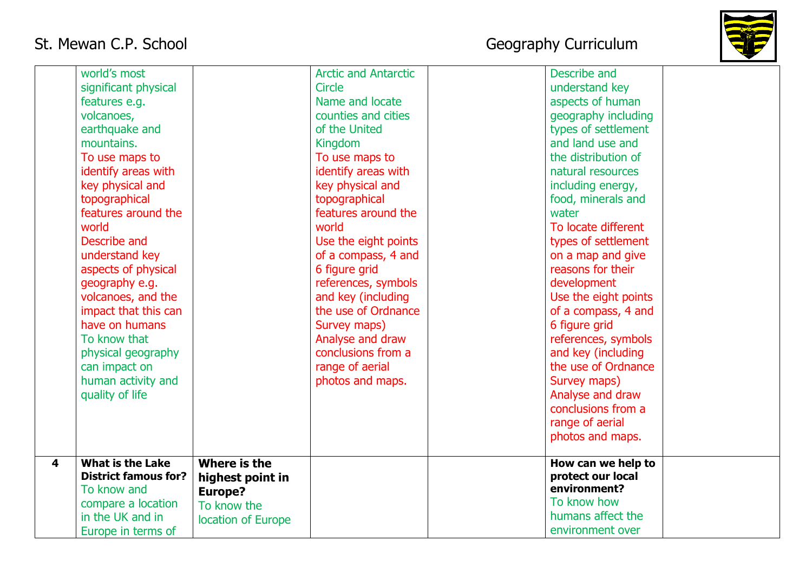

|   | world's most                |                    | <b>Arctic and Antarctic</b> | Describe and         |  |
|---|-----------------------------|--------------------|-----------------------------|----------------------|--|
|   | significant physical        |                    | <b>Circle</b>               | understand key       |  |
|   | features e.g.               |                    | Name and locate             | aspects of human     |  |
|   | volcanoes,                  |                    | counties and cities         | geography including  |  |
|   | earthquake and              |                    | of the United               | types of settlement  |  |
|   | mountains.                  |                    | Kingdom                     | and land use and     |  |
|   | To use maps to              |                    | To use maps to              | the distribution of  |  |
|   | identify areas with         |                    | identify areas with         | natural resources    |  |
|   | key physical and            |                    | key physical and            | including energy,    |  |
|   | topographical               |                    | topographical               | food, minerals and   |  |
|   | features around the         |                    | features around the         | water                |  |
|   | world                       |                    | world                       | To locate different  |  |
|   | Describe and                |                    | Use the eight points        | types of settlement  |  |
|   | understand key              |                    | of a compass, 4 and         | on a map and give    |  |
|   | aspects of physical         |                    | 6 figure grid               | reasons for their    |  |
|   | geography e.g.              |                    | references, symbols         | development          |  |
|   | volcanoes, and the          |                    | and key (including          | Use the eight points |  |
|   | impact that this can        |                    | the use of Ordnance         | of a compass, 4 and  |  |
|   | have on humans              |                    | Survey maps)                | 6 figure grid        |  |
|   | To know that                |                    | Analyse and draw            | references, symbols  |  |
|   | physical geography          |                    | conclusions from a          | and key (including   |  |
|   | can impact on               |                    | range of aerial             | the use of Ordnance  |  |
|   | human activity and          |                    | photos and maps.            | Survey maps)         |  |
|   | quality of life             |                    |                             | Analyse and draw     |  |
|   |                             |                    |                             | conclusions from a   |  |
|   |                             |                    |                             | range of aerial      |  |
|   |                             |                    |                             | photos and maps.     |  |
| 4 | <b>What is the Lake</b>     | Where is the       |                             | How can we help to   |  |
|   | <b>District famous for?</b> | highest point in   |                             | protect our local    |  |
|   | To know and                 | Europe?            |                             | environment?         |  |
|   | compare a location          | To know the        |                             | To know how          |  |
|   | in the UK and in            | location of Europe |                             | humans affect the    |  |
|   | Europe in terms of          |                    |                             | environment over     |  |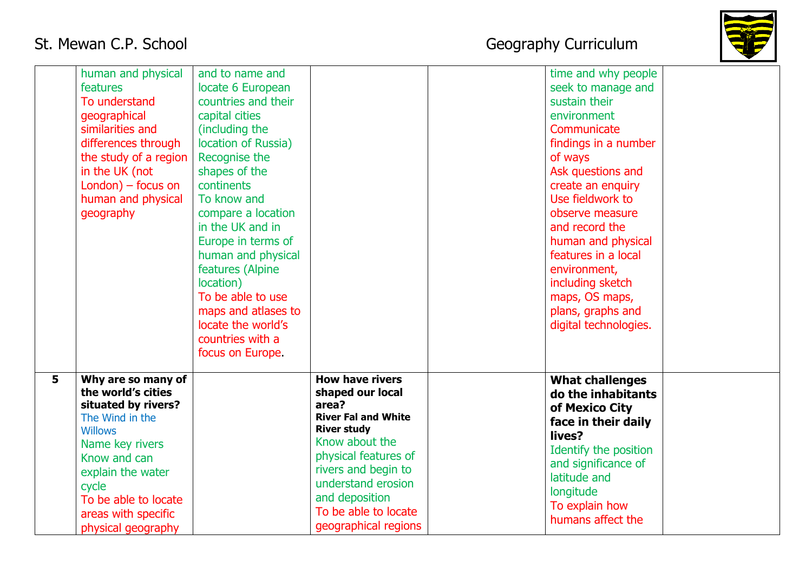

|                | human and physical<br>features<br>To understand<br>geographical<br>similarities and<br>differences through<br>the study of a region<br>in the UK (not<br>$London) - focus on$<br>human and physical<br>geography                           | and to name and<br>locate 6 European<br>countries and their<br>capital cities<br>(including the<br>location of Russia)<br>Recognise the<br>shapes of the<br>continents<br>To know and<br>compare a location<br>in the UK and in<br>Europe in terms of<br>human and physical<br>features (Alpine<br>location)<br>To be able to use<br>maps and atlases to<br>locate the world's<br>countries with a<br>focus on Europe. |                                                                                                                                                                                                                                                                  | time and why people<br>seek to manage and<br>sustain their<br>environment<br>Communicate<br>findings in a number<br>of ways<br>Ask questions and<br>create an enquiry<br>Use fieldwork to<br>observe measure<br>and record the<br>human and physical<br>features in a local<br>environment,<br>including sketch<br>maps, OS maps,<br>plans, graphs and<br>digital technologies. |  |
|----------------|--------------------------------------------------------------------------------------------------------------------------------------------------------------------------------------------------------------------------------------------|------------------------------------------------------------------------------------------------------------------------------------------------------------------------------------------------------------------------------------------------------------------------------------------------------------------------------------------------------------------------------------------------------------------------|------------------------------------------------------------------------------------------------------------------------------------------------------------------------------------------------------------------------------------------------------------------|---------------------------------------------------------------------------------------------------------------------------------------------------------------------------------------------------------------------------------------------------------------------------------------------------------------------------------------------------------------------------------|--|
| 5 <sup>5</sup> | Why are so many of<br>the world's cities<br>situated by rivers?<br>The Wind in the<br><b>Willows</b><br>Name key rivers<br>Know and can<br>explain the water<br>cycle<br>To be able to locate<br>areas with specific<br>physical geography |                                                                                                                                                                                                                                                                                                                                                                                                                        | <b>How have rivers</b><br>shaped our local<br>area?<br><b>River Fal and White</b><br><b>River study</b><br>Know about the<br>physical features of<br>rivers and begin to<br>understand erosion<br>and deposition<br>To be able to locate<br>geographical regions | <b>What challenges</b><br>do the inhabitants<br>of Mexico City<br>face in their daily<br>lives?<br>Identify the position<br>and significance of<br>latitude and<br>longitude<br>To explain how<br>humans affect the                                                                                                                                                             |  |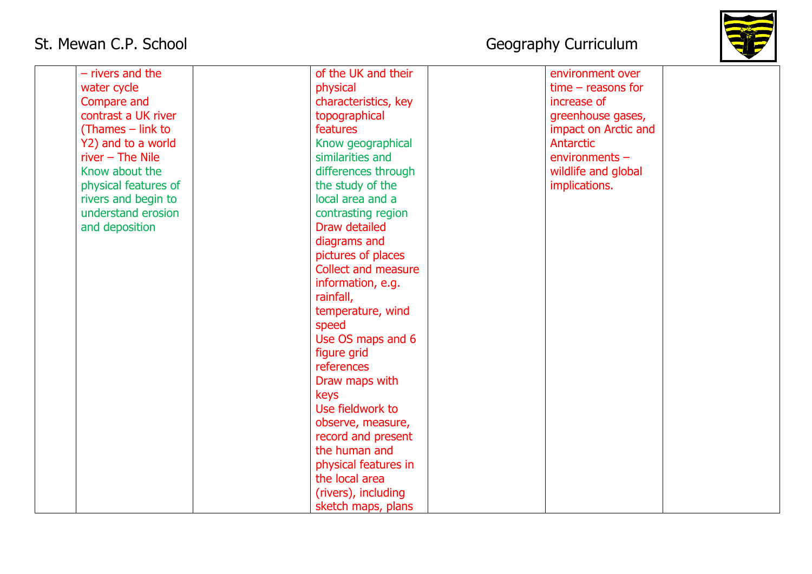

| $-$ rivers and the   | of the UK and their        | environment over     |  |
|----------------------|----------------------------|----------------------|--|
| water cycle          | physical                   | $time - reasons for$ |  |
| Compare and          | characteristics, key       | increase of          |  |
| contrast a UK river  | topographical              | greenhouse gases,    |  |
| (Thames $-$ link to  | features                   | impact on Arctic and |  |
| Y2) and to a world   | Know geographical          | Antarctic            |  |
| $river - The Nile$   | similarities and           | environments -       |  |
| Know about the       | differences through        | wildlife and global  |  |
| physical features of | the study of the           | implications.        |  |
| rivers and begin to  | local area and a           |                      |  |
| understand erosion   | contrasting region         |                      |  |
| and deposition       | Draw detailed              |                      |  |
|                      | diagrams and               |                      |  |
|                      | pictures of places         |                      |  |
|                      | <b>Collect and measure</b> |                      |  |
|                      | information, e.g.          |                      |  |
|                      | rainfall,                  |                      |  |
|                      | temperature, wind          |                      |  |
|                      | speed                      |                      |  |
|                      | Use OS maps and 6          |                      |  |
|                      | figure grid                |                      |  |
|                      | references                 |                      |  |
|                      | Draw maps with             |                      |  |
|                      | keys                       |                      |  |
|                      | Use fieldwork to           |                      |  |
|                      | observe, measure,          |                      |  |
|                      | record and present         |                      |  |
|                      | the human and              |                      |  |
|                      | physical features in       |                      |  |
|                      | the local area             |                      |  |
|                      | (rivers), including        |                      |  |
|                      | sketch maps, plans         |                      |  |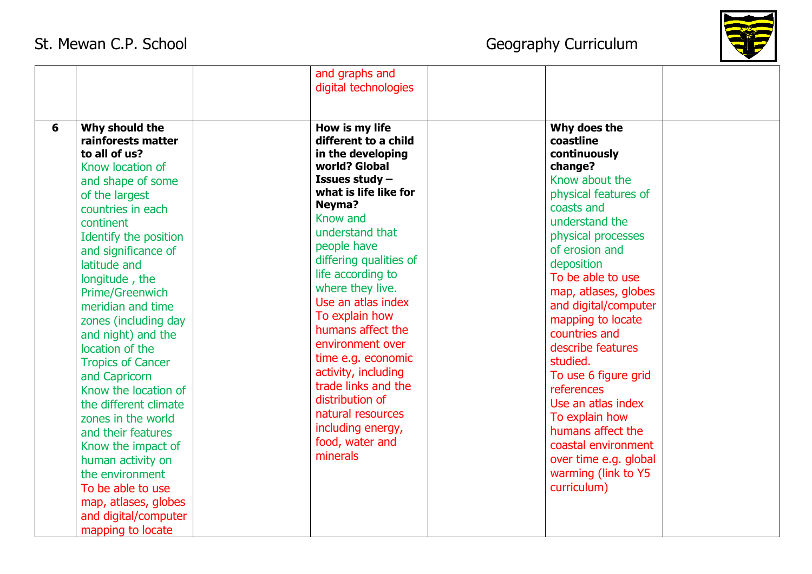

|   |                                                                                                                                                                                                                                                                                                                                                                                                                                                                                                                                                                                                                                                        | and graphs and<br>digital technologies                                                                                                                                                                                                                                                                                                                                                                                                                                                              |                                                                                                                                                                                                                                                                                                                                                                                                                                                                                                                           |  |
|---|--------------------------------------------------------------------------------------------------------------------------------------------------------------------------------------------------------------------------------------------------------------------------------------------------------------------------------------------------------------------------------------------------------------------------------------------------------------------------------------------------------------------------------------------------------------------------------------------------------------------------------------------------------|-----------------------------------------------------------------------------------------------------------------------------------------------------------------------------------------------------------------------------------------------------------------------------------------------------------------------------------------------------------------------------------------------------------------------------------------------------------------------------------------------------|---------------------------------------------------------------------------------------------------------------------------------------------------------------------------------------------------------------------------------------------------------------------------------------------------------------------------------------------------------------------------------------------------------------------------------------------------------------------------------------------------------------------------|--|
| 6 | Why should the<br>rainforests matter<br>to all of us?<br>Know location of<br>and shape of some<br>of the largest<br>countries in each<br>continent<br>Identify the position<br>and significance of<br>latitude and<br>longitude, the<br><b>Prime/Greenwich</b><br>meridian and time<br>zones (including day<br>and night) and the<br>location of the<br><b>Tropics of Cancer</b><br>and Capricorn<br>Know the location of<br>the different climate<br>zones in the world<br>and their features<br>Know the impact of<br>human activity on<br>the environment<br>To be able to use<br>map, atlases, globes<br>and digital/computer<br>mapping to locate | How is my life<br>different to a child<br>in the developing<br>world? Global<br>Issues study -<br>what is life like for<br>Neyma?<br>Know and<br>understand that<br>people have<br>differing qualities of<br>life according to<br>where they live.<br>Use an atlas index<br>To explain how<br>humans affect the<br>environment over<br>time e.g. economic<br>activity, including<br>trade links and the<br>distribution of<br>natural resources<br>including energy,<br>food, water and<br>minerals | Why does the<br>coastline<br>continuously<br>change?<br>Know about the<br>physical features of<br>coasts and<br>understand the<br>physical processes<br>of erosion and<br>deposition<br>To be able to use<br>map, atlases, globes<br>and digital/computer<br>mapping to locate<br>countries and<br>describe features<br>studied.<br>To use 6 figure grid<br>references<br>Use an atlas index<br>To explain how<br>humans affect the<br>coastal environment<br>over time e.g. global<br>warming (link to Y5<br>curriculum) |  |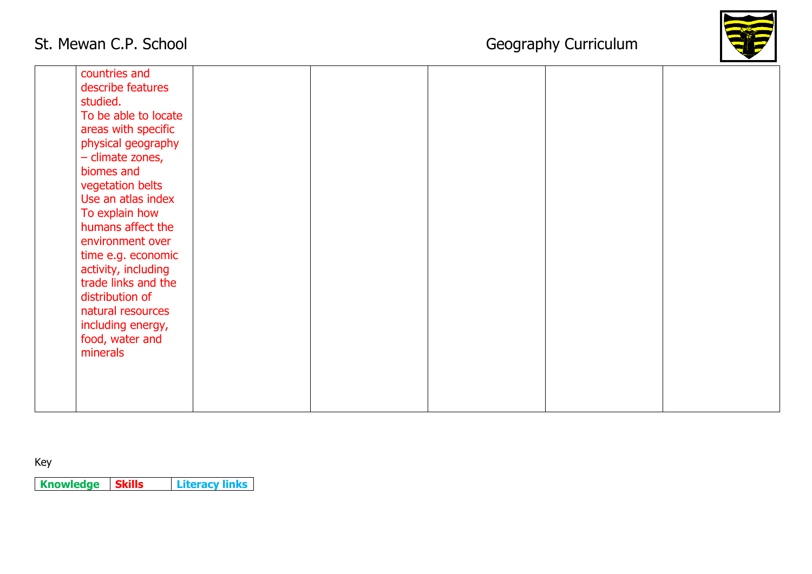

| countries and<br>describe features<br>studied.<br>To be able to locate<br>areas with specific<br>physical geography<br>- climate zones,<br>biomes and<br>vegetation belts<br>Use an atlas index<br>To explain how<br>humans affect the<br>environment over<br>time e.g. economic<br>activity, including<br>trade links and the<br>distribution of<br>natural resources<br>including energy,<br>food, water and<br>minerals |  |  |  |
|----------------------------------------------------------------------------------------------------------------------------------------------------------------------------------------------------------------------------------------------------------------------------------------------------------------------------------------------------------------------------------------------------------------------------|--|--|--|
|                                                                                                                                                                                                                                                                                                                                                                                                                            |  |  |  |

Key

**Knowledge Skills Literacy links**